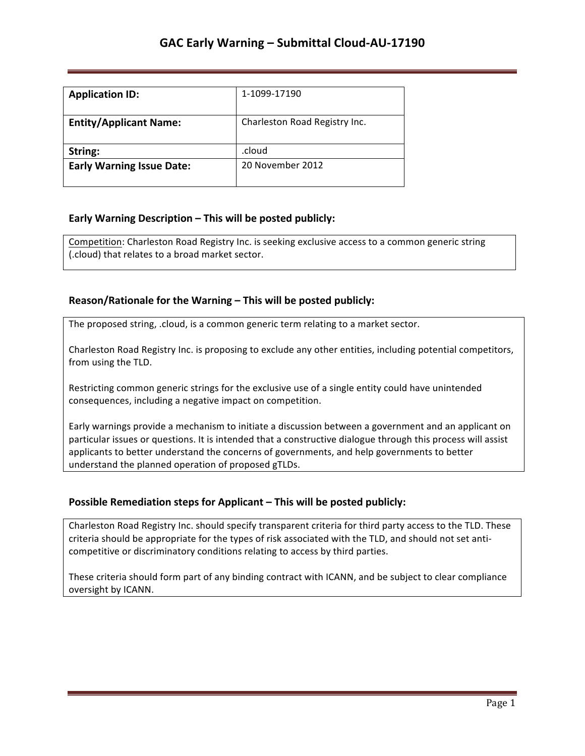| <b>Application ID:</b>           | 1-1099-17190                  |
|----------------------------------|-------------------------------|
| <b>Entity/Applicant Name:</b>    | Charleston Road Registry Inc. |
| String:                          | .cloud                        |
| <b>Early Warning Issue Date:</b> | 20 November 2012              |

## **Early Warning Description – This will be posted publicly:**

Competition: Charleston Road Registry Inc. is seeking exclusive access to a common generic string (.cloud) that relates to a broad market sector.

## **Reason/Rationale for the Warning – This will be posted publicly:**

The proposed string, .cloud, is a common generic term relating to a market sector.

Charleston Road Registry Inc. is proposing to exclude any other entities, including potential competitors, from using the TLD.

Restricting common generic strings for the exclusive use of a single entity could have unintended consequences, including a negative impact on competition.

Early warnings provide a mechanism to initiate a discussion between a government and an applicant on particular issues or questions. It is intended that a constructive dialogue through this process will assist applicants to better understand the concerns of governments, and help governments to better understand the planned operation of proposed gTLDs.

## **Possible Remediation steps for Applicant - This will be posted publicly:**

Charleston Road Registry Inc. should specify transparent criteria for third party access to the TLD. These criteria should be appropriate for the types of risk associated with the TLD, and should not set anticompetitive or discriminatory conditions relating to access by third parties.

These criteria should form part of any binding contract with ICANN, and be subject to clear compliance oversight by ICANN.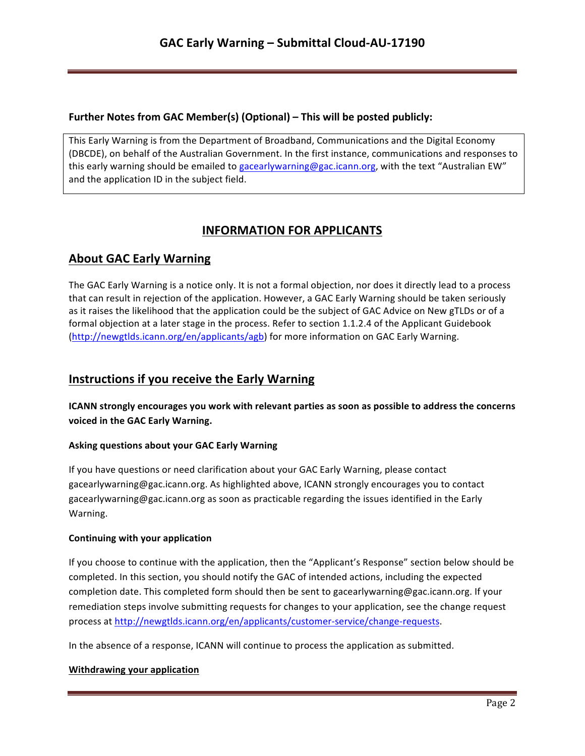## **Further Notes from GAC Member(s) (Optional) – This will be posted publicly:**

This Early Warning is from the Department of Broadband, Communications and the Digital Economy (DBCDE), on behalf of the Australian Government. In the first instance, communications and responses to this early warning should be emailed to gacearlywarning@gac.icann.org, with the text "Australian EW" and the application ID in the subject field.

# **INFORMATION FOR APPLICANTS**

# **About GAC Early Warning**

The GAC Early Warning is a notice only. It is not a formal objection, nor does it directly lead to a process that can result in rejection of the application. However, a GAC Early Warning should be taken seriously as it raises the likelihood that the application could be the subject of GAC Advice on New gTLDs or of a formal objection at a later stage in the process. Refer to section 1.1.2.4 of the Applicant Guidebook (http://newgtlds.icann.org/en/applicants/agb) for more information on GAC Early Warning.

# **Instructions if you receive the Early Warning**

**ICANN** strongly encourages you work with relevant parties as soon as possible to address the concerns voiced in the GAC Early Warning.

### **Asking questions about your GAC Early Warning**

If you have questions or need clarification about your GAC Early Warning, please contact gacearlywarning@gac.icann.org. As highlighted above, ICANN strongly encourages you to contact gacearlywarning@gac.icann.org as soon as practicable regarding the issues identified in the Early Warning. 

### **Continuing with your application**

If you choose to continue with the application, then the "Applicant's Response" section below should be completed. In this section, you should notify the GAC of intended actions, including the expected completion date. This completed form should then be sent to gacearlywarning@gac.icann.org. If your remediation steps involve submitting requests for changes to your application, see the change request process at http://newgtlds.icann.org/en/applicants/customer-service/change-requests.

In the absence of a response, ICANN will continue to process the application as submitted.

### **Withdrawing your application**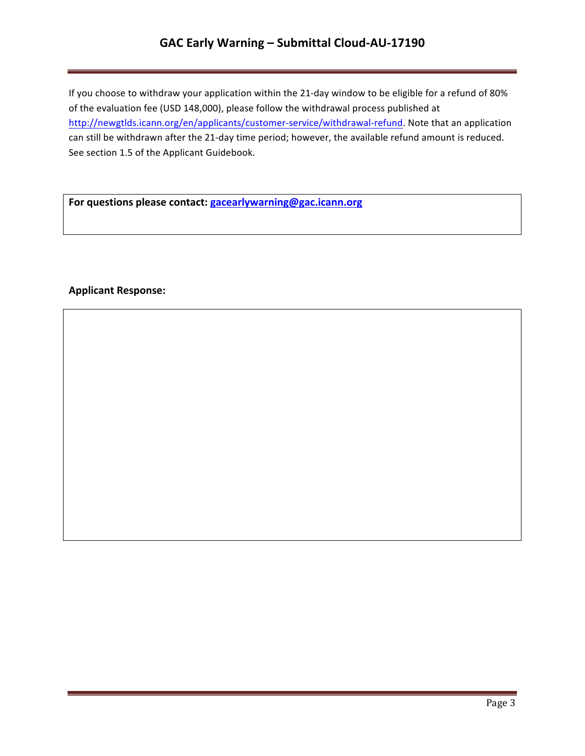# GAC Early Warning - Submittal Cloud-AU-17190

If you choose to withdraw your application within the 21-day window to be eligible for a refund of 80% of the evaluation fee (USD 148,000), please follow the withdrawal process published at http://newgtlds.icann.org/en/applicants/customer-service/withdrawal-refund. Note that an application can still be withdrawn after the 21-day time period; however, the available refund amount is reduced. See section 1.5 of the Applicant Guidebook.

For questions please contact: **gacearlywarning@gac.icann.org** 

## **Applicant Response:**